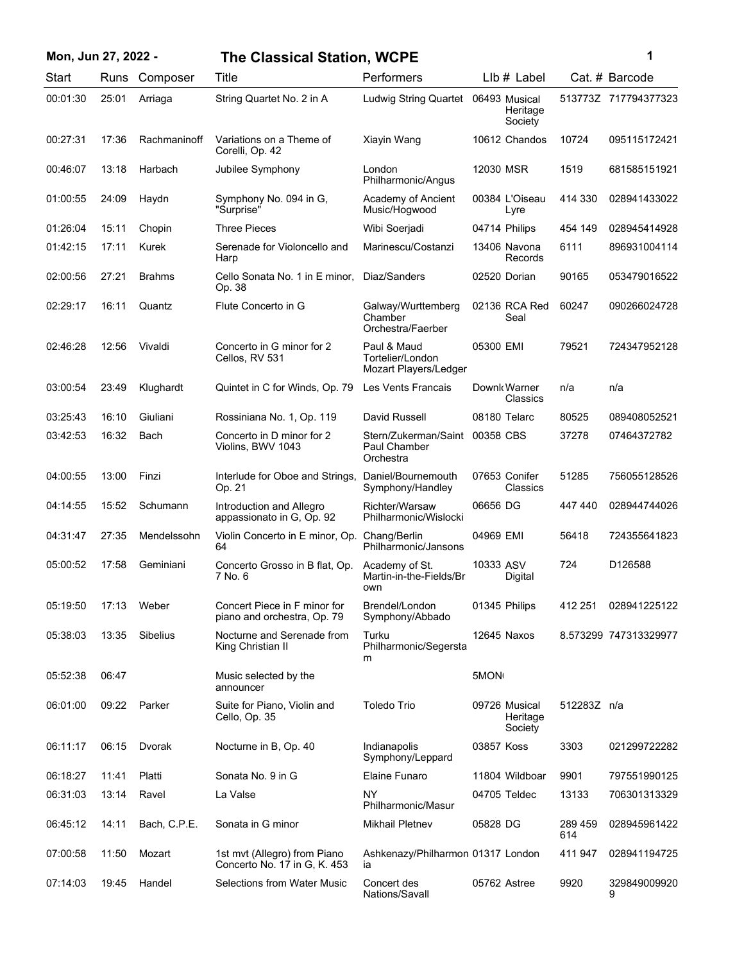| Mon, Jun 27, 2022 - |       |               | <b>The Classical Station, WCPE</b>                           |                                                             |                                      |                | 1                     |
|---------------------|-------|---------------|--------------------------------------------------------------|-------------------------------------------------------------|--------------------------------------|----------------|-----------------------|
| Start               |       | Runs Composer | Title                                                        | Performers                                                  | LIb # Label                          |                | Cat. # Barcode        |
| 00:01:30            | 25:01 | Arriaga       | String Quartet No. 2 in A                                    | <b>Ludwig String Quartet</b>                                | 06493 Musical<br>Heritage<br>Society |                | 513773Z 717794377323  |
| 00:27:31            | 17:36 | Rachmaninoff  | Variations on a Theme of<br>Corelli, Op. 42                  | Xiayin Wang                                                 | 10612 Chandos                        | 10724          | 095115172421          |
| 00:46:07            | 13:18 | Harbach       | Jubilee Symphony                                             | London<br>Philharmonic/Angus                                | 12030 MSR                            | 1519           | 681585151921          |
| 01:00:55            | 24:09 | Haydn         | Symphony No. 094 in G,<br>"Surprise"                         | Academy of Ancient<br>Music/Hogwood                         | 00384 L'Oiseau<br>Lyre               | 414 330        | 028941433022          |
| 01:26:04            | 15:11 | Chopin        | <b>Three Pieces</b>                                          | Wibi Soerjadi                                               | 04714 Philips                        | 454 149        | 028945414928          |
| 01:42:15            | 17:11 | Kurek         | Serenade for Violoncello and<br>Harp                         | Marinescu/Costanzi                                          | 13406 Navona<br>Records              | 6111           | 896931004114          |
| 02:00:56            | 27:21 | <b>Brahms</b> | Cello Sonata No. 1 in E minor,<br>Op. 38                     | Diaz/Sanders                                                | 02520 Dorian                         | 90165          | 053479016522          |
| 02:29:17            | 16:11 | Quantz        | Flute Concerto in G                                          | Galway/Wurttemberg<br>Chamber<br>Orchestra/Faerber          | 02136 RCA Red<br>Seal                | 60247          | 090266024728          |
| 02:46:28            | 12:56 | Vivaldi       | Concerto in G minor for 2<br>Cellos, RV 531                  | Paul & Maud<br>Tortelier/London<br>Mozart Players/Ledger    | 05300 EMI                            | 79521          | 724347952128          |
| 03:00:54            | 23:49 | Klughardt     | Quintet in C for Winds, Op. 79                               | Les Vents Francais                                          | Downk Warner<br>Classics             | n/a            | n/a                   |
| 03:25:43            | 16:10 | Giuliani      | Rossiniana No. 1, Op. 119                                    | David Russell                                               | 08180 Telarc                         | 80525          | 089408052521          |
| 03:42:53            | 16:32 | Bach          | Concerto in D minor for 2<br>Violins, BWV 1043               | Stern/Zukerman/Saint 00358 CBS<br>Paul Chamber<br>Orchestra |                                      | 37278          | 07464372782           |
| 04:00:55            | 13:00 | Finzi         | Interlude for Oboe and Strings,<br>Op. 21                    | Daniel/Bournemouth<br>Symphony/Handley                      | 07653 Conifer<br>Classics            | 51285          | 756055128526          |
| 04:14:55            | 15:52 | Schumann      | Introduction and Allegro<br>appassionato in G, Op. 92        | Richter/Warsaw<br>Philharmonic/Wislocki                     | 06656 DG                             | 447 440        | 028944744026          |
| 04:31:47            | 27:35 | Mendelssohn   | Violin Concerto in E minor, Op.<br>64                        | Chang/Berlin<br>Philharmonic/Jansons                        | 04969 EMI                            | 56418          | 724355641823          |
| 05:00:52            | 17:58 | Geminiani     | Concerto Grosso in B flat, Op.<br>7 No. 6                    | Academy of St.<br>Martin-in-the-Fields/Br<br>own            | 10333 ASV<br>Digital                 | 724            | D126588               |
| 05:19:50            | 17:13 | Weber         | Concert Piece in F minor for<br>piano and orchestra, Op. 79  | Brendel/London<br>Symphony/Abbado                           | 01345 Philips                        | 412 251        | 028941225122          |
| 05:38:03            | 13:35 | Sibelius      | Nocturne and Serenade from<br>King Christian II              | Turku<br>Philharmonic/Segersta<br>m                         | 12645 Naxos                          |                | 8.573299 747313329977 |
| 05:52:38            | 06:47 |               | Music selected by the<br>announcer                           |                                                             | 5MON                                 |                |                       |
| 06:01:00            | 09:22 | Parker        | Suite for Piano, Violin and<br>Cello, Op. 35                 | <b>Toledo Trio</b>                                          | 09726 Musical<br>Heritage<br>Society | 512283Z n/a    |                       |
| 06:11:17            | 06:15 | Dvorak        | Nocturne in B, Op. 40                                        | Indianapolis<br>Symphony/Leppard                            | 03857 Koss                           | 3303           | 021299722282          |
| 06:18:27            | 11:41 | Platti        | Sonata No. 9 in G                                            | <b>Elaine Funaro</b>                                        | 11804 Wildboar                       | 9901           | 797551990125          |
| 06:31:03            | 13:14 | Ravel         | La Valse                                                     | <b>NY</b><br>Philharmonic/Masur                             | 04705 Teldec                         | 13133          | 706301313329          |
| 06:45:12            | 14:11 | Bach, C.P.E.  | Sonata in G minor                                            | <b>Mikhail Pletnev</b>                                      | 05828 DG                             | 289 459<br>614 | 028945961422          |
| 07:00:58            | 11:50 | Mozart        | 1st mvt (Allegro) from Piano<br>Concerto No. 17 in G, K. 453 | Ashkenazy/Philharmon 01317 London<br>ia                     |                                      | 411 947        | 028941194725          |
| 07:14:03            | 19:45 | Handel        | <b>Selections from Water Music</b>                           | Concert des<br>Nations/Savall                               | 05762 Astree                         | 9920           | 329849009920<br>9     |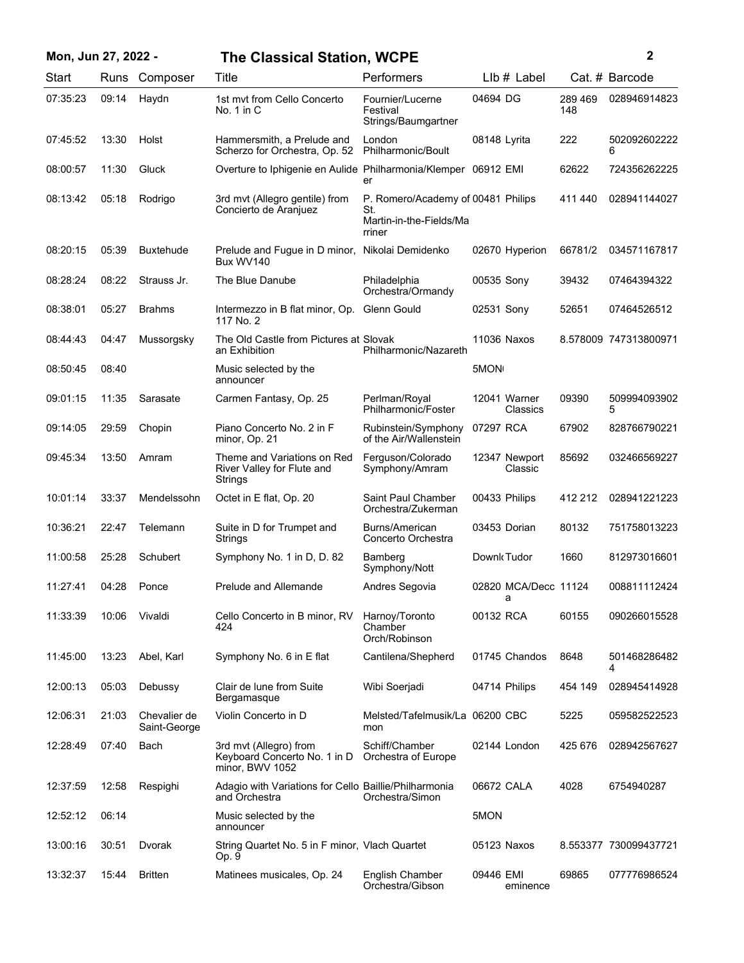| Mon, Jun 27, 2022 - |       |                              | <b>The Classical Station, WCPE</b>                                        |                                                                                |              |                           |                | $\mathbf{2}$          |
|---------------------|-------|------------------------------|---------------------------------------------------------------------------|--------------------------------------------------------------------------------|--------------|---------------------------|----------------|-----------------------|
| Start               | Runs  | Composer                     | Title                                                                     | Performers                                                                     |              | $Llb#$ Label              |                | Cat. # Barcode        |
| 07:35:23            | 09:14 | Haydn                        | 1st mvt from Cello Concerto<br>No. $1$ in $C$                             | Fournier/Lucerne<br>Festival<br>Strings/Baumgartner                            | 04694 DG     |                           | 289 469<br>148 | 028946914823          |
| 07:45:52            | 13:30 | Holst                        | Hammersmith, a Prelude and<br>Scherzo for Orchestra, Op. 52               | London<br>Philharmonic/Boult                                                   | 08148 Lyrita |                           | 222            | 502092602222<br>6     |
| 08:00:57            | 11:30 | Gluck                        | Overture to Iphigenie en Aulide Philharmonia/Klemper 06912 EMI            | er                                                                             |              |                           | 62622          | 724356262225          |
| 08:13:42            | 05:18 | Rodrigo                      | 3rd mvt (Allegro gentile) from<br>Concierto de Aranjuez                   | P. Romero/Academy of 00481 Philips<br>St.<br>Martin-in-the-Fields/Ma<br>rriner |              |                           | 411 440        | 028941144027          |
| 08:20:15            | 05:39 | <b>Buxtehude</b>             | Prelude and Fugue in D minor, Nikolai Demidenko<br>Bux WV140              |                                                                                |              | 02670 Hyperion            | 66781/2        | 034571167817          |
| 08:28:24            | 08:22 | Strauss Jr.                  | The Blue Danube                                                           | Philadelphia<br>Orchestra/Ormandy                                              | 00535 Sony   |                           | 39432          | 07464394322           |
| 08:38:01            | 05:27 | <b>Brahms</b>                | Intermezzo in B flat minor, Op. Glenn Gould<br>117 No. 2                  |                                                                                | 02531 Sony   |                           | 52651          | 07464526512           |
| 08:44:43            | 04:47 | Mussorgsky                   | The Old Castle from Pictures at Slovak<br>an Exhibition                   | Philharmonic/Nazareth                                                          |              | 11036 Naxos               |                | 8.578009 747313800971 |
| 08:50:45            | 08:40 |                              | Music selected by the<br>announcer                                        |                                                                                | 5MON         |                           |                |                       |
| 09:01:15            | 11:35 | Sarasate                     | Carmen Fantasy, Op. 25                                                    | Perlman/Royal<br>Philharmonic/Foster                                           |              | 12041 Warner<br>Classics  | 09390          | 509994093902<br>5     |
| 09:14:05            | 29:59 | Chopin                       | Piano Concerto No. 2 in F<br>minor, Op. 21                                | Rubinstein/Symphony<br>of the Air/Wallenstein                                  | 07297 RCA    |                           | 67902          | 828766790221          |
| 09:45:34            | 13:50 | Amram                        | Theme and Variations on Red<br>River Valley for Flute and<br>Strings      | Ferguson/Colorado<br>Symphony/Amram                                            |              | 12347 Newport<br>Classic  | 85692          | 032466569227          |
| 10:01:14            | 33:37 | Mendelssohn                  | Octet in E flat, Op. 20                                                   | Saint Paul Chamber<br>Orchestra/Zukerman                                       |              | 00433 Philips             | 412 212        | 028941221223          |
| 10:36:21            | 22:47 | Telemann                     | Suite in D for Trumpet and<br>Strings                                     | Burns/American<br>Concerto Orchestra                                           |              | 03453 Dorian              | 80132          | 751758013223          |
| 11:00:58            | 25:28 | Schubert                     | Symphony No. 1 in D, D. 82                                                | Bamberg<br>Symphony/Nott                                                       | Downk Tudor  |                           | 1660           | 812973016601          |
| 11:27:41            | 04:28 | Ponce                        | Prelude and Allemande                                                     | Andres Segovia                                                                 |              | 02820 MCA/Decc 11124<br>a |                | 008811112424          |
| 11:33:39            | 10:06 | Vivaldi                      | Cello Concerto in B minor, RV<br>424                                      | Harnoy/Toronto<br>Chamber<br>Orch/Robinson                                     | 00132 RCA    |                           | 60155          | 090266015528          |
| 11:45:00            | 13:23 | Abel, Karl                   | Symphony No. 6 in E flat                                                  | Cantilena/Shepherd                                                             |              | 01745 Chandos             | 8648           | 501468286482<br>4     |
| 12:00:13            | 05:03 | Debussy                      | Clair de lune from Suite<br>Bergamasque                                   | Wibi Soerjadi                                                                  |              | 04714 Philips             | 454 149        | 028945414928          |
| 12:06:31            | 21:03 | Chevalier de<br>Saint-George | Violin Concerto in D                                                      | Melsted/Tafelmusik/La 06200 CBC<br>mon                                         |              |                           | 5225           | 059582522523          |
| 12:28:49            | 07:40 | Bach                         | 3rd mvt (Allegro) from<br>Keyboard Concerto No. 1 in D<br>minor, BWV 1052 | Schiff/Chamber<br>Orchestra of Europe                                          |              | 02144 London              | 425 676        | 028942567627          |
| 12:37:59            | 12:58 | Respighi                     | Adagio with Variations for Cello Baillie/Philharmonia<br>and Orchestra    | Orchestra/Simon                                                                | 06672 CALA   |                           | 4028           | 6754940287            |
| 12:52:12            | 06:14 |                              | Music selected by the<br>announcer                                        |                                                                                | 5MON         |                           |                |                       |
| 13:00:16            | 30:51 | Dvorak                       | String Quartet No. 5 in F minor, Vlach Quartet<br>Op. 9                   |                                                                                |              | 05123 Naxos               |                | 8.553377 730099437721 |
| 13:32:37            | 15:44 | <b>Britten</b>               | Matinees musicales, Op. 24                                                | English Chamber<br>Orchestra/Gibson                                            | 09446 EMI    | eminence                  | 69865          | 077776986524          |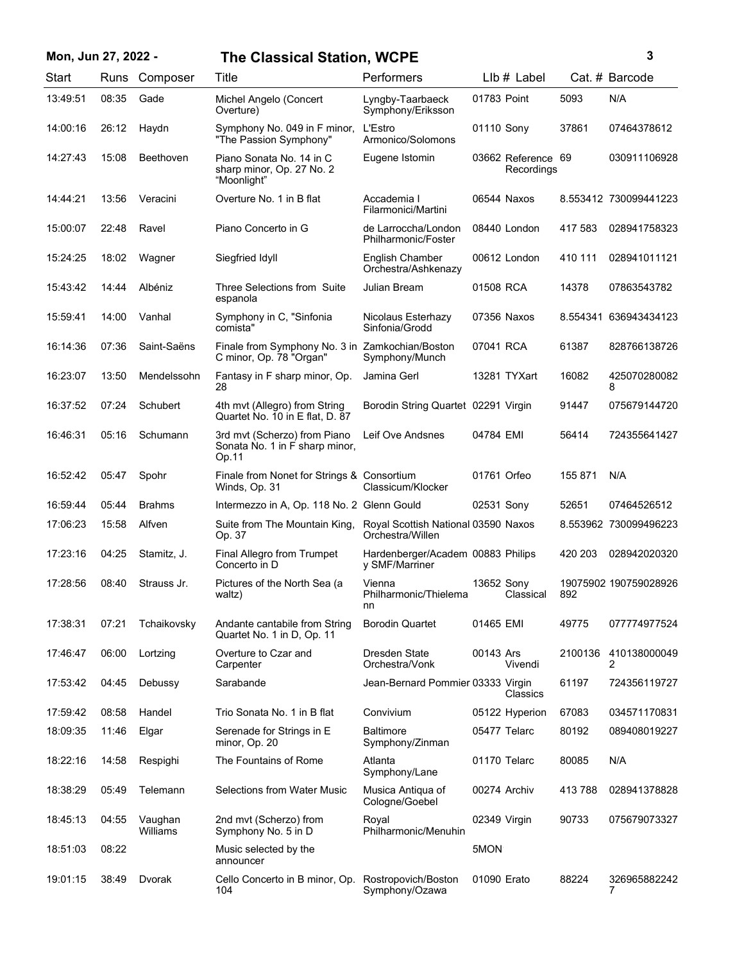## **Mon, Jun 27, 2022 - 3 The Classical Station, WCPE**

| ٦ |
|---|
|   |
|   |
| I |

| Start    | Runs  | Composer            | Title                                                                      | Performers                                              |              | $Llb#$ Label                     |         | Cat. # Barcode        |
|----------|-------|---------------------|----------------------------------------------------------------------------|---------------------------------------------------------|--------------|----------------------------------|---------|-----------------------|
| 13:49:51 | 08:35 | Gade                | Michel Angelo (Concert<br>Overture)                                        | Lyngby-Taarbaeck<br>Symphony/Eriksson                   | 01783 Point  |                                  | 5093    | N/A                   |
| 14:00:16 | 26:12 | Haydn               | Symphony No. 049 in F minor,<br>"The Passion Symphony"                     | L'Estro<br>Armonico/Solomons                            | 01110 Sony   |                                  | 37861   | 07464378612           |
| 14:27:43 | 15:08 | Beethoven           | Piano Sonata No. 14 in C<br>sharp minor, Op. 27 No. 2<br>"Moonlight"       | Eugene Istomin                                          |              | 03662 Reference 69<br>Recordings |         | 030911106928          |
| 14:44:21 | 13:56 | Veracini            | Overture No. 1 in B flat                                                   | Accademia I<br>Filarmonici/Martini                      |              | 06544 Naxos                      |         | 8.553412 730099441223 |
| 15:00:07 | 22:48 | Ravel               | Piano Concerto in G                                                        | de Larroccha/London<br>Philharmonic/Foster              |              | 08440 London                     | 417 583 | 028941758323          |
| 15:24:25 | 18:02 | Wagner              | Siegfried Idyll                                                            | English Chamber<br>Orchestra/Ashkenazy                  |              | 00612 London                     | 410 111 | 028941011121          |
| 15:43:42 | 14:44 | Albéniz             | Three Selections from Suite<br>espanola                                    | Julian Bream                                            | 01508 RCA    |                                  | 14378   | 07863543782           |
| 15:59:41 | 14:00 | Vanhal              | Symphony in C, "Sinfonia<br>comista"                                       | Nicolaus Esterhazy<br>Sinfonia/Grodd                    |              | 07356 Naxos                      |         | 8.554341 636943434123 |
| 16:14:36 | 07:36 | Saint-Saëns         | Finale from Symphony No. 3 in Zamkochian/Boston<br>C minor, Op. 78 "Organ" | Symphony/Munch                                          | 07041 RCA    |                                  | 61387   | 828766138726          |
| 16:23:07 | 13:50 | Mendelssohn         | Fantasy in F sharp minor, Op.<br>28                                        | Jamina Gerl                                             |              | 13281 TYXart                     | 16082   | 425070280082<br>8     |
| 16:37:52 | 07:24 | Schubert            | 4th mvt (Allegro) from String<br>Quartet No. 10 in E flat, D. 87           | Borodin String Quartet 02291 Virgin                     |              |                                  | 91447   | 075679144720          |
| 16:46:31 | 05:16 | Schumann            | 3rd mvt (Scherzo) from Piano<br>Sonata No. 1 in F sharp minor,<br>Op.11    | Leif Ove Andsnes                                        | 04784 EMI    |                                  | 56414   | 724355641427          |
| 16:52:42 | 05:47 | Spohr               | Finale from Nonet for Strings & Consortium<br>Winds, Op. 31                | Classicum/Klocker                                       | 01761 Orfeo  |                                  | 155 871 | N/A                   |
| 16:59:44 | 05:44 | <b>Brahms</b>       | Intermezzo in A, Op. 118 No. 2 Glenn Gould                                 |                                                         | 02531 Sony   |                                  | 52651   | 07464526512           |
| 17:06:23 | 15:58 | Alfven              | Suite from The Mountain King,<br>Op. 37                                    | Royal Scottish National 03590 Naxos<br>Orchestra/Willen |              |                                  |         | 8.553962 730099496223 |
| 17:23:16 | 04:25 | Stamitz, J.         | Final Allegro from Trumpet<br>Concerto in D                                | Hardenberger/Academ 00883 Philips<br>y SMF/Marriner     |              |                                  | 420 203 | 028942020320          |
| 17:28:56 | 08:40 | Strauss Jr.         | Pictures of the North Sea (a<br>waltz)                                     | Vienna<br>Philharmonic/Thielema<br>nn                   | 13652 Sony   | Classical                        | 892     | 19075902 190759028926 |
| 17:38:31 | 07:21 | Tchaikovsky         | Andante cantabile from String<br>Quartet No. 1 in D, Op. 11                | <b>Borodin Quartet</b>                                  | 01465 EMI    |                                  | 49775   | 077774977524          |
| 17:46:47 | 06:00 | Lortzing            | Overture to Czar and<br>Carpenter                                          | Dresden State<br>Orchestra/Vonk                         | 00143 Ars    | Vivendi                          | 2100136 | 410138000049<br>2     |
| 17:53:42 | 04:45 | Debussy             | Sarabande                                                                  | Jean-Bernard Pommier 03333 Virgin                       |              | Classics                         | 61197   | 724356119727          |
| 17:59:42 | 08:58 | Handel              | Trio Sonata No. 1 in B flat                                                | Convivium                                               |              | 05122 Hyperion                   | 67083   | 034571170831          |
| 18:09:35 | 11:46 | Elgar               | Serenade for Strings in E<br>minor, Op. 20                                 | <b>Baltimore</b><br>Symphony/Zinman                     |              | 05477 Telarc                     | 80192   | 089408019227          |
| 18:22:16 | 14:58 | Respighi            | The Fountains of Rome                                                      | Atlanta<br>Symphony/Lane                                |              | 01170 Telarc                     | 80085   | N/A                   |
| 18:38:29 | 05:49 | Telemann            | Selections from Water Music                                                | Musica Antiqua of<br>Cologne/Goebel                     |              | 00274 Archiv                     | 413788  | 028941378828          |
| 18:45:13 | 04:55 | Vaughan<br>Williams | 2nd mvt (Scherzo) from<br>Symphony No. 5 in D                              | Royal<br>Philharmonic/Menuhin                           | 02349 Virgin |                                  | 90733   | 075679073327          |
| 18:51:03 | 08:22 |                     | Music selected by the<br>announcer                                         |                                                         | 5MON         |                                  |         |                       |
| 19:01:15 | 38:49 | Dvorak              | Cello Concerto in B minor, Op.<br>104                                      | Rostropovich/Boston<br>Symphony/Ozawa                   | 01090 Erato  |                                  | 88224   | 326965882242<br>7     |